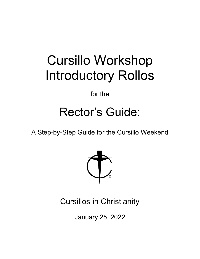# Cursillo Workshop Introductory Rollos

for the

## Rector's Guide:

A Step-by-Step Guide for the Cursillo Weekend



Cursillos in Christianity

January 25, 2022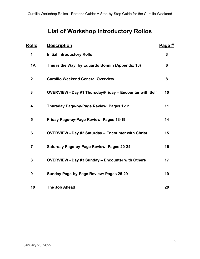## **List of Workshop Introductory Rollos**

| <u>Rollo</u> | <b>Description</b>                                             | <u>Page #</u> |
|--------------|----------------------------------------------------------------|---------------|
| 1            | <b>Initial Introductory Rollo</b>                              | 3             |
| <b>1A</b>    | This is the Way, by Eduardo Bonnín (Appendix 16)               | 6             |
| $\mathbf 2$  | <b>Cursillo Weekend General Overview</b>                       | 8             |
| 3            | <b>OVERVIEW - Day #1 Thursday/Friday - Encounter with Self</b> | 10            |
| 4            | Thursday Page-by-Page Review: Pages 1-12                       | 11            |
| 5            | Friday Page-by-Page Review: Pages 13-19                        | 14            |
| 6            | <b>OVERVIEW - Day #2 Saturday - Encounter with Christ</b>      | 15            |
| 7            | <b>Saturday Page-by-Page Review: Pages 20-24</b>               | 16            |
| 8            | <b>OVERVIEW - Day #3 Sunday - Encounter with Others</b>        | 17            |
| 9            | Sunday Page-by-Page Review: Pages 25-29                        | 19            |
| 10           | The Job Ahead                                                  | 20            |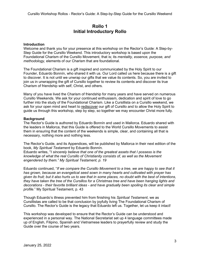## **Rollo 1 Initial Introductory Rollo**

#### **Introduction**

Welcome and thank you for your presence at this workshop on the Rector's Guide: A Step-by-Step Guide for the Cursillo Weekend. This introductory workshop is based upon the Foundational Charism of the Cursillo Movement, that is; its *mentality, essence, purpose, and methodology,* elements of our Charism that are foundational.

The Foundational Charism is a gift inspired and communicated by the Holy Spirit to our Founder, Eduardo Bonnín, who shared it with us. Our Lord called us here because there is a gift to discover. It is not until we unwrap our gifts that we value its contents. So, you are invited to join us in unwrapping the gift of Cursillo together to review its contents and discover its true Charism of friendship with self, Christ, and others.

Many of you have lived the Charism of friendship for many years and have served on numerous Cursillo Weekends. We ask for your continued enthusiasm, dedication and spirit of love to go further into the study of the Foundational Charism. Like a Cursillista on a Cursillo weekend, we ask for your open mind and heart to rediscover our gift of Cursillo and to allow the Holy Spirit to guide us through this workshop, step by step, so together we may encounter Christ more fully.

#### **Background**

The Rector's Guide is authored by Eduardo Bonnín and used in Mallorca. Eduardo shared with the leaders in Mallorca, that this Guide is offered to the World Cursillo Movements to assist them in ensuring that the content of the weekends is simple, clear, and containing all that is necessary, nothing more and nothing less.

The Rector's Guide, and its Appendices, will be published by Mallorca in their next edition of the book, *My Spiritual Testament* by Eduardo Bonnín.

Eduardo writes, "*I sincerely believe that one of the greatest assets that I possess is the knowledge of what the real Cursillo of Christianity consists of, as well as the Movement engendered by them." My Spiritual Testament, p. 19*

Eduardo continued, "*If we compare the Cursillo Movement to a tree, we are happy to see that it has grown, because an evangelical seed sown in many hearts and cultivated with prayer has given its fruit; but it also hurts us to see that in some places, no doubt with the best of intentions, they have taken the tree of the Cursillos for a Christmas tree and have been hanging lights and decorations - their favorite brilliant ideas - and have gradually been spoiling its clear and simple profile.*" My Spiritual Testament, p. 43

Though Eduardo's illness prevented him from finishing his *Spiritual Testament*, we as Cursillistas are called to be that conclusion by joyfully living The Foundational Charism of Cursillo. The Rector's Guide is the legacy that Eduardo left us. Together, let us keep it intact!

This workshop was developed to ensure that the Rector's Guide can be understood and experienced in a personal way. The National Secretariat set up 4 language committees made up of English, Filipino, Spanish and Vietnamese leaders to prayerfully review and study the Guide over the course of two years.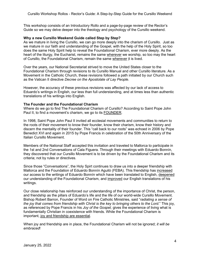This workshop consists of an Introductory Rollo and a page-by-page review of the Rector's Guide so we may delve deeper into the theology and psychology of the Cursillo weekend.

#### **Why a new Cursillo Weekend Guide called Step by Step?**

As we mature in living the Cursillo, we can go more deeply into the charism of Cursillo. Just as we mature in our faith and understanding of the Gospel, with the help of the Holy Spirit, so too does the same Holy Spirit help to reveal the Foundational Charism, ever more deeply. As the heart of the liturgy, the Eucharist, remains the same wherever we worship, so too may the heart of Cursillo, the Foundational Charism, remain the same wherever it is lived.

Over the years, our National Secretariat strived to move the United States closer to the Foundational Charism through revisions to its Cursillo Manual and other Cursillo literature. As a Movement in the Catholic Church, these revisions followed a path initiated by our Church such as the Vatican II directive *Decree on the Apostolate of Lay People.*

However, the accuracy of these previous revisions was affected by our lack of access to Eduardo's writings in English, our less than full understanding, and at times less than authentic translations of his writings into English.

#### **The Founder and the Foundational Charism**

Where do we go to find The Foundational Charism of Cursillo? According to Saint Pope John Paul II, to find a movement's charism, we go to its FOUNDER.

In 1998, Saint Pope John Paul II invited all ecclesial movements and communities to return to the roots of their movement to know their founder, know their charism, know their history and discern the mentality of their founder. This "call back to our roots" was echoed in 2006 by Pope Benedict XVI and again in 2015 by Pope Francis in celebration of the 50th Anniversary of the Italian Cursillo Movement.

Members of the National Staff accepted this invitation and traveled to Mallorca to participate in the 1st and 2nd Conversations of Cala Figuera. Through their meetings with Eduardo Bonnín, they discovered that our Cursillo Movement is to be driven by the Foundational Charism and its criteria; not by rules or directives.

Since those "Conversations", the Holy Spirt continues to draw us into a deeper friendship with Mallorca and the Foundation of Eduardo Bonnín Aguiló (FEBA). This friendship has increased our access to the writings of Eduardo Bonnín which have been translated to English, deepened our understanding of the Foundational Charism, and improved our English translations of his writings.

Our close relationship has reinforced our understanding of the importance of Christ, the person, and friendship as the pillars of Eduardo's life and the life of our world-wide Cursillo Movement. Bishop Robert Barron, Founder of Word on Fire Catholic Ministries, said "*radiating a sense of the joy that comes from friendship with Christ is the key to bringing others to the Lord.*" This joy, as referenced by Pope Francis in his *Joy of the Gospel,* gives the experience of living what is fundamentally Christian in coexistence with friends. While the Foundational Charism is important, joy and friendship are essential.

When joy and friendship are in place, the Foundational Charism will not be ignored; *it will be embraced*!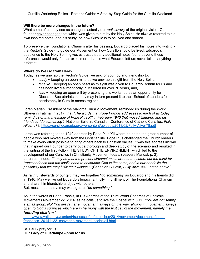Cursillo Workshop Rollos - Rector's Guide: A Step-by-Step Guide for the Cursillo Weekend

#### **Will there be more changes in the future?**

What some of us may see as change is actually our *rediscovery* of the original vision. Our founder never changed that which was given to him by the Holy Spirit. He always referred to his own inspired notes, and his study, on how Cursillo is to be lived and shared.

To preserve the Foundational Charism after his passing, Eduardo placed his notes into writing the Rector's Guide - to guide our Movement on how Cursillo should be lived. Eduardo's obedience to the Holy Spirit, gives us trust that any additional notes found beyond these references would only further explain or enhance what Eduardo left us; never tell us anything different.

#### **Where do We Go from Here?**

Today, as we unwrap the Rector's Guide, we ask for your joy and friendship to:

- *study* ~ keeping an open mind as we unwrap this gift from the Holy Spirit,
- r*eceive* ~ keeping an open heart as this gift was given to Eduardo Bonnín for us and has been lived authentically in Mallorca for over 70 years, and,
- *lead* ~ keeping an open will by presenting this workshop as an opportunity for Diocesan Secretariats so they may in turn present it to their School of Leaders for consistency in Cursillo across regions.

Loren Marian, President of the Mallorca Cursillo Movement, reminded us during the World Ultreya in Fatima, in 2017, that *"The words that Pope Francis addresses to each of us today remind us of that message of Pope Pius XII in February 1940 that moved Eduardo and his friends to "do something".* National Bulletin: Canadian Conference of Catholic Cursillos, *Fully Alive, #78*, <https://cursillocanada.org/wp-content/uploads/2018/02/Fully-Alive-78.pdf>

Loren was referring to the 1940 address by Pope Pius XII where he noted the great number of people who had moved away from the Christian life. Pope Pius challenged the Church leaders to make every effort possible to bring others back to Christian values. It was this address in1940 that inspired our Founder to carry out a thorough and deep study of the scenario and resulted in the writing of the first Rollo - THE STUDY OF THE ENVIRONMENT which led to the development of our Cursillos in Christianity Movement today. (Leaders Manual, p. 2). Loren continued, *"It may be that the present circumstances are not the same, but the thirst for transcendence and the soul's need to encounter God is the same, and in our hands lie the possibility that we may fulfill their wishes."* (Canadian Bulletin, *Fully Alive*, #78, noted above.)

As faithful stewards of our gift, may we together "*do something*" as Eduardo and his friends did in 1940. May we live out Eduardo's legacy faithfully in fulfillment of The Foundational Charism and share it in friendship and joy with others.

But, most importantly, may we together "*be something*!"

As in the words of Pope Francis, in His Address at the Third World Congress of Ecclesial Movements November 22, 2014, as he calls us to live the Gospel with JOY: "*You are not simply a small group. No! You are rather a movement, always on the way, always in movement, always open to God's surprises which are in harmony with the first call of the movement, namely the founding charism.*"

[https://www.vatican.va/content/francesco/en/speeches/2014/november/documents/papa](https://www.vatican.va/content/francesco/en/speeches/2014/november/documents/papa-francesco_20141122_convegno-movimenti-ecclesiali.html)[francesco\\_20141122\\_convegno-movimenti-ecclesiali.html](https://www.vatican.va/content/francesco/en/speeches/2014/november/documents/papa-francesco_20141122_convegno-movimenti-ecclesiali.html)

St. Paul - pray for us. **Our Lady of Guadalupe - pray for us.**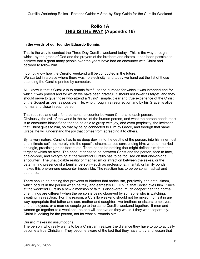## **Rollo 1A THIS IS THE WAY (Appendix 16)**

#### **In the words of our founder Eduardo Bonnín:**

This is the way to conduct the Three Day Cursillo weekend today. This is the way through which, by the grace of God and the prayers of the brothers and sisters, it has been possible to achieve that a great many people over the years have had an encounter with Christ and decided to follow him.

I do not know how the Cursillo weekend will be conducted in the future. We started in a place where there was no electricity, and today we hand out the list of those attending the Cursillo printed by computer.

All I know is that if Cursillo is to remain faithful to the purpose for which it was intended and for which it was prayed and for which we have been grateful, it should not lower its target, and they should serve to give those who attend a "living", simple, clear and true experience of the Christ of the Gospel as best as possible. He, who through his resurrection and by his Grace, is alive, normal and close in each person.

This requires and calls for a personal encounter between Christ and each person. Obviously, the evil of the world is the evil of the human person, and what the person needs most is to encounter himself and then to be able to grasp with joy, and even perplexity, the invitation that Christ gives to him, so that by being connected to Him by Grace, and through that same Grace, he will understand the joy that comes from spreading it to others.

By its very nature, Cursillo has to go deep down into the depths of the person, into his innermost and intimate self, not merely into the specific circumstances surrounding him: whether married or single, practicing or indifferent etc. There has to be nothing that might deflect him from the target at which he aims. The encounter has to be between Christ and the person, face to face, one-on-one, and everything at the weekend Cursillo has to be focused on that one-on-one encounter. The unavoidable reality of magnetism or attraction between the sexes, or the determining presence of a familiar person – such as professional, marital, or family bonds, makes this one-on-one encounter impossible. The reaction has to be personal, radical and authentic.

There should be nothing that prevents or hinders that radicalism, perplexity and enthusiasm, which occurs in the person when he truly and earnestly BELIEVES that Christ loves him. Since at the weekend Cursillo a new dimension of faith is discovered, much deeper than the normal one, things are different when the person is being observed by someone who is watching, awaiting his reaction. For this reason, a Cursillo weekend should not be mixed; nor is it in any way appropriate that father and son, mother and daughter, two brothers or sisters, employers and employees, or a married couple go to the same Cursillo weekend together. If men and women go together to a weekend, no one will behave as they would if they went separately. Christ is looking for the person, not for what surrounds him.

#### Cursillo makes no assumptions.

The person, who really wants to be a Christian, realizes the distance they have to go to actually become a true Christian. They become aware of the fact that they have to try and lessen that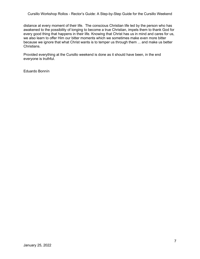distance at every moment of their life. The conscious Christian life led by the person who has awakened to the possibility of longing to become a true Christian, impels them to thank God for every good thing that happens in their life. Knowing that Christ has us in mind and cares for us, we also learn to offer Him our bitter moments which we sometimes make even more bitter because we ignore that what Christ wants is to temper us through them ... and make us better Christians.

Provided everything at the Cursillo weekend is done as it should have been, in the end everyone is truthful.

Eduardo Bonnín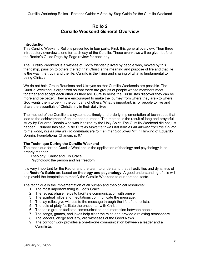## **Rollo 2 Cursillo Weekend General Overview**

#### **Introduction**

This Cursillo Weekend Rollo is presented in four parts. First, this general overview. Then three introductory overviews, one for each day of the Cursillo. These overviews will be given before the Rector's Guide Page-by-Page review for each day.

The Cursillo Weekend is a witness of God's friendship lived by people who, moved by this friendship, pass on to others the fact that Christ is the meaning and purpose of life and that He is the way, the truth, and the life. Cursillo is the living and sharing of what is fundamental to being Christian.

We do not hold Group Reunions and Ultreyas so that Cursillo Weekends are possible. The Cursillo Weekend is organized so that there are groups of people whose members meet together and accept each other as they are. Cursillo helps the Cursillistas discover they can be more and be better. They are encouraged to make the journey from where they are - to where God wants them to be - in the company of others. What is important, is for people to live and share the essentials of Christianity in their daily lives.

The method of the Cursillo is a systematic, timely and orderly implementation of techniques that lead to the achievement of an intended purpose. The method is the result of long and prayerful study by Eduardo Bonnín who was inspired by the Holy Spirit. The Cursillo Weekend did not just happen. Eduardo has said, *"The Cursillo Movement was not born as an answer from the Church to the world, but as one way to communicate to man that God loves him."* Thinking of Eduardo Bonnín, Foundational Charism, p. 97

#### **The Technique During the Cursillo Weekend**

The technique for the Cursillo Weekend is the application of theology and psychology in an orderly manner.

Theology: Christ and His Grace Psychology: the person and his freedom.

It is very important for the Rector and the team to understand that all activities and dynamics of the **Rector's Guide** are based on **theology and psychology**. A good understanding of this will help avoid the temptation to modify the Cursillo Weekend to our personal taste.

The technique is the implementation of all human and theological resources:

- 1. The most important thing is God's Grace.
- 2. The retreat phase helps to facilitate communication with oneself.
- 3. The spiritual rollos and meditations communicate the message.
- 4. The lay rollos give witness to the message through the life of the rollista.
- 5. The acts of piety facilitate the encounter with Christ.
- 6. The table groups facilitate communication and interaction between people.
- 7. The songs, games, and jokes help clear the mind and provide a relaxing atmosphere.
- 8. The leaders, clergy and laity, are witnesses of the Good News.
- 9. The corridor work provides a one-to-one communication between a leader and a Cursillista.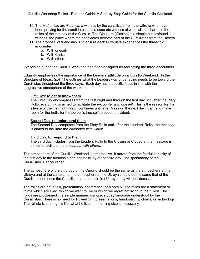- 10. The Mañanitas are Palanca, a witness by the cursillistas from the Ultreya who have been praying for the candidates. It is a concrete witness of what will be shared in the rollos of the last day of the Cursillo. The Clausura [Closing] is a simple but profound witness, the place where the candidates become part of the Cursillistas from the Ultreya.
- 11. The proposal of friendship is to ensure each Cursillista experiences the three-fold encounter:
	- a. With oneself
	- b. With Christ
	- c. With others

Everything during the Cursillo Weekend has been designed for facilitating the three encounters.

Eduardo emphasizes the importance of the **Leaders attitude** on a Cursillo Weekend. In the Structure of Ideas, (p.41) he outlines what the Leaders way of behaving needs to be toward the Cursillistas throughout the three days. Each day has a specific focus in line with the progressive atmosphere of the weekend.

#### First Day: **to get to know them**

The First Day encompasses from the first night and through the first day until after the Piety Rollo, everything is aimed to facilitate the *encounter with oneself*. This is the reason for the silence of the first night which continues until after Mass on the next day. It aims to make room for the truth, for the person's true self to become evident.

#### Second Day: **to understand them**

The Second Day comprises from the Piety Rollo until after the Leaders' Rollo, the message is aimed to facilitate the *encounter with Christ*.

#### Third Day: **to respond to them**

The third day includes from the Leaders Rollo to the Closing or Clausura, the message is aimed to facilitate the *encounter with others*.

The atmosphere of the Cursillo Weekend is progressive. It moves from the fearful curiosity of the first day to the friendship and apostolic joy of the third day. The spontaneity of the Cursillistas is encouraged.

The atmosphere of the third day of the Cursillo should be the same as the atmosphere at the Ultreya and at the same time, the atmosphere at the Ultreya should be the same that of the Cursillo, if not, once the Cursillistas attend their first Ultreya they will feel deceived.

The rollos are not a talk, presentation, conference, or a homily. The rollos are a statement of truths which are lived, which we want to live or which we regret not living to the fullest. The rollos are proclaimed in a simple manner, using everyday language understood by the Cursillistas. There is no need for PowerPoint presentations, handouts, flip charts, or technology. The rollista is sharing his life, what he lives . . . nothing else is necessary.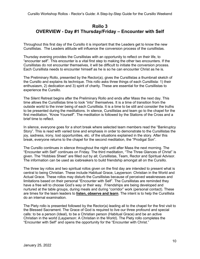## **Rollo 3 OVERVIEW - Day #1 Thursday/Friday – Encounter with Self**

Throughout this first day of the Cursillo it is important that the Leaders get to know the new Cursillistas. The Leaders attitude will influence the conversion process of the cursillistas.

Thursday evening provides the Cursillistas with an opportunity to reflect on their life, to "encounter self". This encounter is a vital first step to making the other two encounters. If the Cursillistas do not encounter themselves, it will be difficult to initiate the conversion process. Each Cursillista needs to encounter himself as he is so he can encounter Christ as he is.

The Preliminary Rollo, presented by the Rector(a), gives the Cursillistas a thumbnail sketch of the Cursillo and explains its technique. This rollo asks three things of each Cursillista: 1) their enthusiasm, 2) dedication and 3) spirit of charity. These are essential for the Cursillistas to experience the Cursillo.

The Silent Retreat begins after the Preliminary Rollo and ends after Mass the next day. This time allows the Cursillistas time to look "into" themselves. It is a time of transition from the outside world to the inner being of each Cursillista. It is a time to be still and consider the truths to be presented during the meditations. In silence, Cursillistas and team go to the chapel for the first meditation, "Know Yourself". The meditation is followed by the Stations of the Cross and a brief time to reflect.

In silence, everyone goes for a short break where selected team members read the "Bankruptcy Story". This is read with varied tone and emphasis in order to demonstrate to the Cursillistas the joy, sadness, irony, lost opportunities, etc. of the situations explained in the story. After this break, everyone returns to the chapel for the second meditation, the "Prodigal Son".

The Cursillo continues in silence throughout the night until after Mass the next morning. The "Encounter with Self" continues on Friday. The third meditation, "The Three Glances of Christ" is given. The "Hobbies Sheet" are filled out by all; Cursillistas, Team, Rector and Spiritual Advisor. The information can be used as icebreakers to build friendship amongst all on the Cursillo.

The three lay rollos and two spiritual rollos given on the first day are intended to present what is central to being Christian. These include Habitual Grace, Layperson: Christian in the World and Actual Grace. These rollos may disturb the Cursillistas because of perceived weaknesses and limitations based on their personal "Encounter with Self". The Cursillistas are reminded they have a free will to choose God's way or their way. Friendships are being developed and nurtured at the table groups, during meals and during "corridor" work (personal contact). These are times for the team leaders to **listen, observe and learn**. The intent is to help the Cursillista do an internal examination.

The Piety rollo is presented followed by the Rector(a) leading all to the chapel for the first visit to the Blessed Sacrament. The Grace of God is required to live our three profound and special calls: to be a person (Ideal), to be a Christian person (Habitual Grace) and be an active Christian in the world (Layperson: A Christian in the World). The Piety rollo completes the "Encounter with Self" and opens the opportunity for the "Encounter with Christ."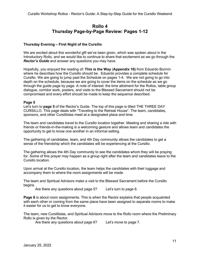## **Rollo 4 Thursday Page-by-Page Review: Pages 1-12**

#### **Thursday Evening – First Night of the Cursillo**

We are excited about this wonderful gift we've been given, which was spoken about in the Introductory Rollo, and we would like to continue to share that excitement as we go through the *Rector's Guide* and answer any questions you may have.

Hopefully, you enjoyed the reading of: **This is the Way** (**Appendix 16)** from Eduardo Bonnín where he describes how the Cursillo should be. Eduardo provides a complete schedule for Cursillo. We are going to jump past the Schedule on pages 1-4. We are not going to go into depth on the schedule, because we are going to cover the items on the schedule as we go through the guide page by page. A note of interest: the time allotment for the Rollos, table group dialogue, corridor work, posters, and visits to the Blessed Sacrament should not be compromised and every effort should be made to keep the sequence described.

#### **Page 5**

Let's turn to **page 5** of the Rector's Guide. The top of this page is titled THE THREE DAY CURSILLO. This page deals with "Traveling to the Retreat House". The team, candidates, sponsors, and other Cursillistas meet at a designated place and time.

The team and candidates travel to the Cursillo location together. Meeting and sharing a ride with friends or friends-in-the-making is a welcoming gesture and allows team and candidates the opportunity to get to know one another in an informal setting.

The gathering of candidates, team, and 4th Day community allows the candidates to get a sense of the friendship which the candidates will be experiencing at the Cursillo.

The gathering allows the 4th Day community to see the candidates whom they will be praying for. Some of this prayer may happen as a group right after the team and candidates leave to the Cursillo location.

Upon arrival at the Cursillo location, the team helps the candidates with their luggage and accompany them to where the room assignments will be made.

The team and Spiritual Advisors make a visit to the Blessed Sacrament before the Cursillo begins.

Are there any questions about page 5? Let's turn to page 6.

**Page 6** is about room assignments. This is when the Rector explains that people acquainted with each other or coming from the same place have been assigned to separate rooms to make it easier for us to get to know everyone.

The team, new Cursillistas, and Spiritual Advisors move to the Rollo room where the Preliminary Rollo is given by the Rector.

Are there any questions about page 6? Let's move to page 7.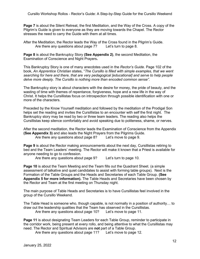**Page 7** is about the Silent Retreat, the first Meditation, and the Way of the Cross. A copy of the Pilgrim's Guide is given to everyone as they are moving towards the Chapel. The Rector stresses the need to carry the Guide with them at all times.

After the Meditation, the Rector leads the Way of the Cross found in the Pilgrim's Guide. Are there any questions about page 7? Let's turn to page 8.

**Page 8** is about the Bankruptcy Story **(See Appendix 2)**, the second Meditation, the Examination of Conscience and Night Prayers**.**

This Bankruptcy Story is one of many anecdotes used in the *Rector's Guide*. Page 102 of the book, *An Apprentice Christian* states, "*The Cursillo is filled with simple examples, that we went searching for here and there, that are very pedagogical [educational] and serve to help people delve more deeply. The Cursillo is nothing more than encoded common sense".*

The Bankruptcy story is about characters with the desire for money, the pride of beauty, and the wasting of time with themes of repentance, forgiveness, hope and a new life in the way of Christ. It helps the Cursillistas focus on introspection through possible identification with one or more of the characters.

Preceded by the Know Yourself meditation and followed by the meditation of the Prodigal Son helps set the reading and invites the Cursillistas to an encounter with self the first night. The Bankruptcy story may be read by two or three team leaders. The reading also helps the Cursillistas keep silence comfortably and avoid speaking due to politeness, shame, or nerves.

After the second meditation, the Rector leads the Examination of Conscience from the Appendix **(See Appendix 3)** and also leads the Night Prayers from the Pilgrims Guide.

Are there any questions about page 8? Let's move to page 9.

**Page 9** is about the Rector making announcements about the next day, Cursillistas retiring to bed and the Team Leaders' meeting. The Rector will make it known that a Priest is available for anyone needing to go to confession.

Are there any questions about page 9? Let's turn to page 10.

**Page 10** is about the Team Meeting and the Team fills out the Quadrant Sheet. (a simple assessment of talkative and quiet candidates to assist with forming table groups). Next is the Formation of the Table Groups and the Heads and Secretaries of each Table Group. **(See Appendix 5 for more information).** The Table Heads and Secretaries have been chosen by the Rector and Team at the first meeting on Thursday night.

The main purpose of Table Heads and Secretaries is to have Cursillistas feel involved in the group of the Cursillo Weekend.

The Table Head is someone who, though capable, is not normally in a position of authority… to draw out the leadership qualities that the Team has observed in the Cursillistas.

Are there any questions about page 10? Let's move to page 11.

**Page 11** is about designating Team Leaders for each Table Group, reminder to participate in the corridor work, being present at every rollo, and being attentive to what the Cursillistas may need. The Rector and Spiritual Advisors are **not** part of a Table Group.

Are there any questions about page 11? Let's move to page 12.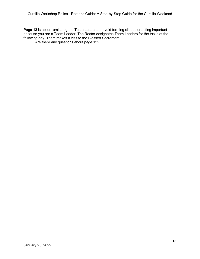**Page 12** is about reminding the Team Leaders to avoid forming cliques or acting important because you are a Team Leader. The Rector designates Team Leaders for the tasks of the following day. Team makes a visit to the Blessed Sacrament.

Are there any questions about page 12?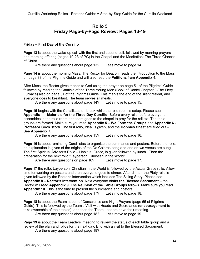## **Rollo 5 Friday Page-by-Page Review: Pages 13-19**

#### **Friday – First Day of the Cursillo**

**Page 13** is about the wake-up call with the first and second bell, followed by morning prayers and morning offering (pages 19-23 of PG) in the Chapel and the Meditation: The Three Glances of Christ.

Are there any questions about page 13? Let's move to page 14.

**Page 14** is about the morning Mass. The Rector [or Deacon] reads the introduction to the Mass on page 33 of the Pilgrims Guide and will also read the **Petitions** from **Appendix 4**.

After Mass, the Rector gives thanks to God using the prayer on page 51 of the Pilgrims' Guide followed by reading the Canticle of the Three Young Men (Book of Daniel Chapter 3-The Fiery Furnace) also on page 51 of the Pilgrims Guide. This marks the end of the silent retreat, and everyone goes to breakfast. The team serves all meals.

Are there any questions about page 14? Let's move to page 15.

**Page 15** begins with the Cursillistas on break while the rollo room is setup. Please see **Appendix 1 – Materials for the Three Day Cursillo**. Before every rollo, before everyone assembles in the rollo room, the team goes to the chapel to pray for the rollista. The table groups are formed. Make sure you read **Appendix 5 – We Form the Groups** and **Appendix 6 - Professor Cook story**. The first rollo, Ideal is given, and the **Hobbies Sheet** are filled out – See **Appendix 7**.

Are there any questions about page 15? Let's move to page 16.

**Page 16** is about reminding Cursillistas to organize the summaries and posters. Before the rollo, an explanation is given of the origins of the De Colores song and one or two versus are sung. The first Spiritual Advisor's Rollo – Habitual Grace, is given followed by lunch. Then the preparation for the next rollo "Layperson: Christian in the World"

Are there any questions on page 16? Let's move to page 17.

**Page 17** the rollo: Layperson: Christian in the World is followed by the Actual Grace rollo. Allow time for working on posters and then everyone goes to dinner. After dinner, the Piety rollo is given followed by the Rector's intervention which includes The Skiing Story. Please see: **Appendix 8 – Rector's Intervention**. Next everyone **visits the Blessed Sacrament** – the Rector will read **Appendix 9**. The **Reunion of the Table Groups** follows. Make sure you read **Appendix 10**. This is the time to present the summaries and posters.

Are there any questions about page 17? Let's move to page 18.

**Page 18** is about the Examination of Conscience and Night Prayers (page 65 of Pilgrims Guide). This is followed by the Team's Visit with Heads and Secretaries (**encouragement** to take ownership of their tables), and then the Team Leaders have their meeting. Are there any questions about page 18? Let's move to page 19.

**Page 19** is about the Team Leaders' meeting to review the status of each table group and a review of the plan and rollos for the next day. End with a visit to the Blessed Sacrament. Are there any questions about page 19?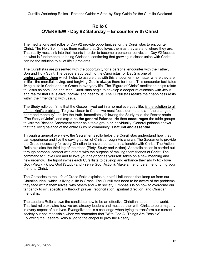## **Rollo 6 OVERVIEW - Day #2 Saturday – Encounter with Christ**

The meditations and rollos of Day #2 provide opportunities for the Cursillistas to encounter Christ. The Holy Spirit helps them realize that God loves them as they are and where they are. This reality must sink into their hearts in order to become a personal conviction. Day #2 focuses on what is fundamental to being Christian, confirming that growing in closer union with Christ can be the solution to all of life's problems.

The Cursillistas are presented with the opportunity for a personal encounter with the Father, Son and Holy Spirit. The Leaders approach to the Cursillistas for Day 2 is one of **understanding them** which helps to assure that with this encounter - no matter where they are in life - the merciful, loving, and forgiving God is always there for them. This encounter facilitates living a life in Christ and his Grace in everyday life. The "Figure of Christ" meditation helps relate to Jesus as both God and Man. Cursillistas begin to develop a deeper relationship with Jesus and realize that He is alive, normal, and near to us. The Cursillistas realize their happiness rests within their friendship with Jesus.

The Study rollo confirms that the Gospel, lived out in a normal everyday life, is the solution to all of mankind's problems. To grow closer to Christ, we must focus our metanoia - "the change of heart and mentality" - to live the truth. Immediately following the Study rollo, the Rector reads "The Story of John", and **explains the general Palanca**. He then **encourages** the table groups to visit the Blessed Sacrament either as a table group or individually. General palanca shows that the living palanca of the entire Cursillo community is **natural and essential**.

Through a general overview, the Sacraments rollo helps the Cursillistas understand how they can experience and live the saving action of Christ through His church. The Sacraments provide the Grace necessary for every Christian to have a personal relationship with Christ. The Action Rollo explains the third leg of the tripod (Piety, Study and Action). Apostolic action is carried out through personal contact with others with the purpose of making them friends of Christ. The command to "Love God and to love your neighbor as yourself" takes on a new meaning and new urgency. The tripod invites each Cursillista to develop and enhance their ability to: - love God (Piety), - know God (Study) and - serve God (Action). Make a friend, be a friend, bring your friend to Christ.

The Obstacles to the Life of Grace Rollo explains our sinful influences that keep us from our Christian Ideal, which is living a life in Grace. The Cursillistas need to be aware of the problems they face within themselves, with others and with society. Emphasis is on how to overcome our tendency to sin, specifically through prayer, reconciliation, spiritual direction, and Christian friendship.

The Leaders Rollo shows the candidate how to be an effective Christian leader in the world. This last rollo explains how we are already leaders and must partner with Christ to be a majority in every aspect of our lives. Evangelization is a challenge when trying to transform our current society but not impossible when we remember that "With God All Things Are Possible". Following the Leaders Rollo all go to the chapel to pray the Rosary.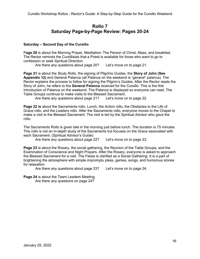## **Rollo 7 Saturday Page-by-Page Review: Pages 20-24**

#### **Saturday – Second Day of the Cursillo**

P**age 20** is about the Morning Prayer, Meditation: The Person of Christ, Mass, and breakfast. The Rector reminds the Cursillistas that a Priest is available for those who want to go to confession or seek Spiritual Direction.

Are there any questions about page 20? Let's move on to page 21.

**Page 21** is about the Study Rollo, the signing of Pilgrims Guides, the **Story of John (See Appendix 12)** and General Palanca (all Palanca on the weekend is "general" palanca). The Rector explains the process to follow for signing the Pilgrim's Guides. After the Rector reads the Story of John, he refers to the **General Palanca** received for the Cursillo. This is the first introduction of Palanca on the weekend. The Palanca is displayed so everyone can read. The Table Groups continue to make visits to the Blessed Sacrament.

Are there any questions about page 21? Let's move on to page 22.

**Page 22 is** about the Sacraments rollo, Lunch, the Action rollo, the Obstacles to the Life of Grace rollo, and the Leaders rollo. After the Sacraments rollo, everyone moves to the Chapel to make a visit to the Blessed Sacrament. The visit is led by the Spiritual Advisor who gave the rollo.

The Sacraments Rollo is given late in the morning just before lunch. The duration is 75 minutes. This rollo is not an in-depth study of the Sacraments but focuses on the Grace associated with each Sacrament. (Spiritual Advisor's Guide)

Are there any questions about page 22? Let's move on to page 23.

**Page 23** is about the Rosary, the social gathering, the Reunion of the Table Groups, and the Examination of Conscience and Night Prayers. After the Rosary, everyone is asked to approach the Blessed Sacrament for a visit. The Fiesta is clarified as a Social Gathering. It is a part of brightening the atmosphere with simple impromptu jokes, games, songs, and humorous stories for relaxation.

Are there any questions about page 23? Let's move on to page 24.

**Page 24** is about the Team Leaders Meeting.

Are there any questions on page 24?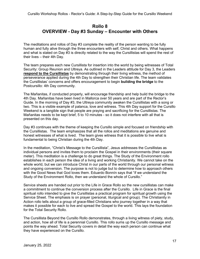## **Rollo 8 OVERVIEW - Day #3 Sunday – Encounter with Others**

The meditations and rollos of Day #3 complete the reality of the person wanting to be fully human and fully alive through the three encounters with self, Christ and others. What happens and what is stated on Day #3 is directly related to the way the Cursillistas will spend the rest of their lives – their 4th Day.

The team prepares each new Cursillista for insertion into the world by being witnesses of Total Security: Group Reunion and Ultreya. As outlined in the Leaders attitude for Day 3, the Leaders **respond to the Cursillistas** by demonstrating through their living witness, the method of perseverance applied during the 4th Day to strengthen their Christian life. The team validates the Cursillistas' concerns and offers encouragement to begin **building the bridge** to the Postcursillo: 4th Day community.

The Mañanitas, if conducted properly, will encourage friendship and help build the bridge to the 4th Day. Mañanitas have been lived in Mallorca over 50 years and are part of the Rector's Guide. In the morning of Day #3, the Ultreya community awaken the Cursillistas with a song or two. This is a visible example of palanca, love and witness. This 4th Day support for the Cursillo Weekend is a tangible sign that people are praying and sacrificing for the Cursillistas. The Mañanitas needs to be kept brief, 5 to 10 minutes - so it does not interfere with all that is presented on this day.

Day #3 continues with the theme of keeping the Cursillo simple and focused on friendship with the Cursillistas. The team emphasizes that all the rollos and meditations are genuine and honest witnesses of what is lived. The team gives witness that it is possible to live what is fundamental to being Christian during the 4th Day.

In the meditation, "Christ's Message to the Cursillista", Jesus addresses the Cursillistas as individual persons and invites them to proclaim the Gospel in their environments (their square meter). This meditation is a challenge to do great things. The Study of the Environment rollo establishes in each person the idea of a living and working Christianity. We cannot take on the whole world, but we can introduce Christ in our parts of the world through our personal witness and ongoing conversion. The purpose is not to judge but to determine how to approach others with the Good News that God loves them. Eduardo Bonnín says that "if we understand the Study of the Environment Rollo, then we understand the whole of Cursillo."

Service sheets are handed out prior to the Life in Grace Rollo so the new cursillistas can make a commitment to continue the conversion process after the Cursillo. Life in Grace is the final spiritual rollo intended to give the Cursillistas a practical program for spiritual growth using the Service Sheet. The emphasis is on prayer (personal, liturgical and group). The Christianity in Action rollo tells about a group of grace-filled Christians who journey together in a way that makes it possible for each to live and spread the Gospel to the world. This lays the foundation for the Total Security Rollo.

The Cursillista Beyond the Cursillo Rollo demonstrates, through a living witness of piety, study, and action, how all of life is a perennial Cursillo. This rollo sums up the Cursillo message and points the way ahead. Total Security covers in detail the way each person can continue what they have experienced on the Cursillo.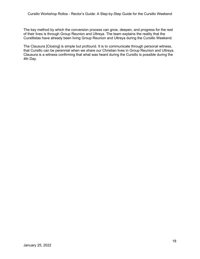The key method by which the conversion process can grow, deepen, and progress for the rest of their lives is through Group Reunion and Ultreya. The team explains the reality that the Cursillistas have already been living Group Reunion and Ultreya during the Cursillo Weekend.

The Clausura [Closing] is simple but profound. It is to communicate through personal witness, that Cursillo can be perennial when we share our Christian lives in Group Reunion and Ultreya. Clausura is a witness confirming that what was heard during the Cursillo is possible during the 4th Day.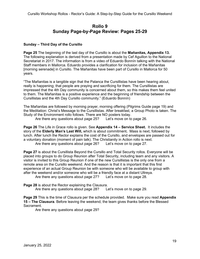## **Rollo 9 Sunday Page-by-Page Review: Pages 25-29**

#### **Sunday – Third Day of the Cursillo**

**Page 25** The beginning of the last day of the Cursillo is about the **Mañanitas, Appendix 13.** The following explanation is derived from a presentation made by Cef Aguillon to the National Secretariat in 2017. The information is from a video of Eduardo Bonnín talking with the National Staff members in Mallorca. Eduardo provides a clarification for inclusion of the Mañanitas [morning serenade] in Cursillo. The Mañanitas have been part of Cursillo in Mallorca for 50 years.

"The Mañanitas is a tangible sign that the Palanca the Cursillistas have been hearing about, really is happening; that people are praying and sacrificing for them. The Cursillistas are impressed that the 4th Day community is concerned about them, so this makes them feel united to them. The Mañanitas is a positive experience and the beginning of friendship between the Cursillistas and the 4th Day Cursillo community." (Eduardo Bonnín)

The Mañanitas are followed by morning prayer, morning offering (Pilgrims Guide page 19) and the Meditation: Christ's Message to the Cursillistas. After breakfast, a Group Photo is taken. The Study of the Environment rollo follows. There are NO posters today.

Are there any questions about page 25? Let's move on to page 26.

**Page 26** The Life in Grace rollo is given. See **Appendix 14 – Service Sheet.** It includes the story of the **Elderly Man's Last Will,** which is about commitment**.** Mass is next, followed by lunch. After lunch the Rector explains the cost of the Cursillo, and envelopes are passed out for a voluntary donation (moment of pain talk). The Christianity in Action rollo is next.

Are there any questions about page 26? Let's move on to page 27.

**Page 27** is about the Cursillista Beyond the Cursillo and Total Security rollos. Everyone will be placed into groups to do Group Reunion after Total Security, including team and any visitors. A visitor is invited to this Group Reunion if one of the new Cursillistas is the only one from a remote area on the Cursillo weekend. And the reason is that it is important that this first experience of an actual Group Reunion be with someone who will be available to group with after the weekend and/or someone who will be a friendly face at a distant Ultreya.

Are there any questions about page 27? Let's move on to page 28.

**Page 28** is about the Rector explaining the Clausura. Are there any questions about page 28? Let's move on to page 29.

**Page 29** This is the time of Clausura per the schedule provided. Make sure you read **Appendix 15 – The Clausura**. Before leaving the weekend, the team gives thanks before the Blessed Sacrament.

Are there any questions about page 29?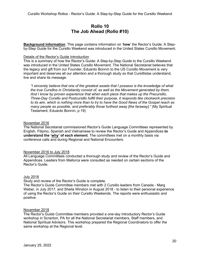## **Rollo 10 The Job Ahead (Rollo #10)**

**Background Information**: This page contains information on '**how**' the Rector's Guide: A Stepby-Step Guide for the Cursillo Weekend was introduced in the United States Cursillo Movement.

#### Details of the Rector's Guide Introduction

This is a summary of how the Rector's Guide: A Step-by-Step Guide to the Cursillo Weekend was introduced in the United States Cursillo Movement. The National Secretariat believes that the legacy and gift from our Founder, Eduardo Bonnín to the US Cursillo Movement is very important and deserves all our attention and a thorough study so that Cursillistas understand, live and share its message.

*"I sincerely believe that one of the greatest assets that I possess is the knowledge of what the true Cursillos in Christianity consist of, as well as the Movement generated by them. And I know by proven experience that when each piece that makes up the Precursillo, Three-Day Cursillo and Postcursillo fulfill their purpose, it responds like clockwork precision to its aim, which is nothing more than to try to have the Good News of the Gospel reach as many people as possible, and preferably those furthest away [the faraway]."* (My Spiritual Testament, Eduardo Bonnín, p.19)

#### November 2016

The National Secretariat commissioned Rector's Guide Language Committees represented by English, Filipino, Spanish and Vietnamese to review the Rector's Guide and Appendices **to understand the 'why' of each element**. The committees met on a monthly basis via conference calls and during Regional and National Encounters.

#### November 2016 to July 2018

All Language Committees conducted a thorough study and review of the Rector's Guide and Appendices. Leaders from Mallorca were consulted as needed on certain sections of the Rector's Guide.

#### July 2018

Study and review of the Rector's Guide is complete.

The Rector's Guide Committee members met with 2 Cursillo leaders from Canada - Marg Weber, in July 2017, and Sheila Winston in August 2018 - to listen to their personal experience of using the Rector's Guide on their Cursillo Weekends. The reports were enthusiastic and positive.

#### November 2018

The Rector's Guide Committee members provided a one-day Introductory Rector's Guide workshop in Scranton, PA for all the National Secretariat members, Staff members, and National Spiritual Advisors. This workshop prepared the Regional Coordinators to offer the same workshop at the Regional level.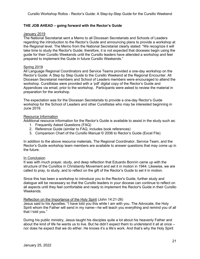#### **THE JOB AHEAD – going forward with the Rector's Guide**

#### January 2019

The National Secretariat sent a Memo to all Diocesan Secretariats and Schools of Leaders regarding the introduction to the Rector's Guide and announcing plans to provide a workshop at the Regional level. The Memo from the National Secretariat clearly stated: "We recognize it will take time to study the Rector's Guide; therefore, it is not expected that dioceses begin using the guide for their Cursillo Weekends until the Cursillo leaders have attended a workshop and feel prepared to implement the Guide in future Cursillo Weekends."

## Spring 2019

All Language Regional Coordinators and Service Teams provided a one-day workshop on the Rector's Guide: A Step by Step Guide to the Cursillo Weekend at the Regional Encounter. All Diocesan Secretariat members and School of Leaders members were encouraged to attend the workshop. Cursillistas were provided with a 'pdf' digital copy of the Rector's Guide and Appendices via email, prior to the workshop. Participants were asked to review the material in preparation for the workshop.

The expectation was for the Diocesan Secretariats to provide a one-day Rector's Guide workshop for the School of Leaders and other Cursillistas who may be interested beginning in June 2019.

#### Resource Information

Additional resource information for the Rector's Guide is available to assist in the study such as:

- 1. Frequently Asked Questions (FAQ)
- 2. Reference Guide (similar to FAQ, includes book references)
- 3. Comparison Chart of the Cursillo Manual © 2006 to Rector's Guide (Excel File)

In addition to the above resource materials, The Regional Coordinator, Service Team, and the Rector's Guide workshop team members are available to answer questions that may come up in the future.

#### In Conclusion

It was with much prayer, study, and deep reflection that Eduardo Bonnín came up with the structure of the Cursillos in Christianity Movement and set it in motion in 1944. Likewise, we are called to pray, to study, and to reflect on the gift of the Rector's Guide to set it in motion.

Since this has been a workshop to introduce you to the Rector's Guide, further study and dialogue will be necessary so that the Cursillo leaders in your diocese can continue to reflect on all aspects until they feel comfortable and ready to implement the Rector's Guide in their Cursillo Weekends.

#### Reflection on the Importance of the Holy Spirit (John 14:21-26)

Jesus said to his Apostles: "I have told you this while I am with you. The Advocate, the Holy Spirit whom the Father will send in my name—he will teach you everything and remind you of all that I told you."

During his public ministry, Jesus taught his disciples quite a lot about his heavenly Father and about the kind of life he wants us to live. But he didn't expect them to understand it all at once – nor does he expect that we do either. He knows it's a life's work. And that's why the Holy Spirit